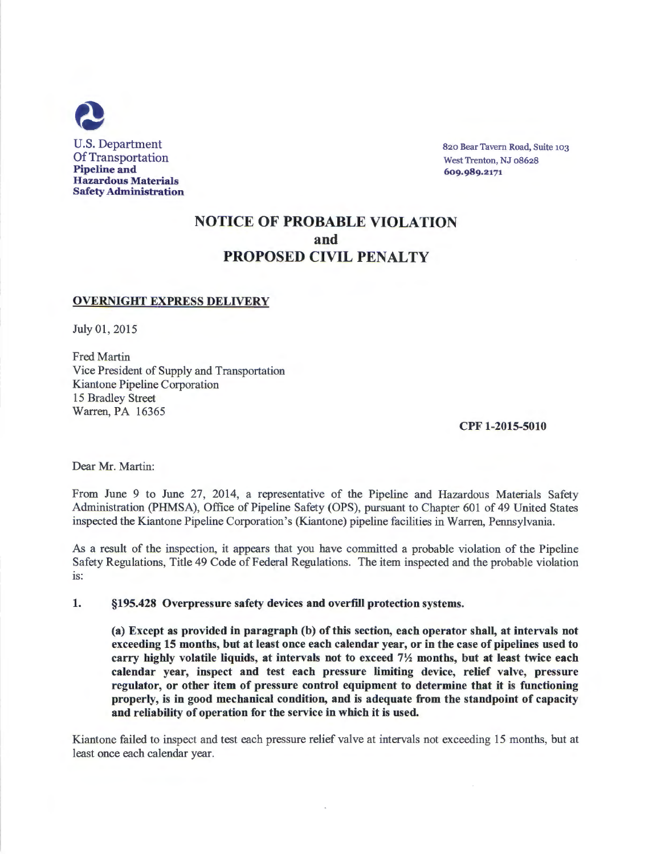

820 Bear Tavern Road, Suite 103 West Trenton, NJ 08628 609.989.2171

## NOTICE OF PROBABLE VIOLATION and PROPOSED CIVIL PENALTY

## OVERNIGHT EXPRESS DELIVERY

July 01, 2015

Fred Martin Vice President of Supply and Transportation Kiantone Pipeline Corporation 15 Bradley Street Warren, PA 16365

CPF 1-2015-5010

Dear Mr. Martin:

From June 9 to June 27, 2014, a representative of the Pipeline and Hazardous Materials Safety Administration (PHMSA), Office of Pipeline Safety (OPS), pursuant to Chapter 601 of 49 United States inspected the Kiantone Pipeline Corporation's (Kiantone) pipeline facilities in Warren, Pennsylvania.

As a result of the inspection, it appears that you have committed a probable violation of the Pipeline Safety Regulations, Title 49 Code of Federal Regulations. The item inspected and the probable violation is:

1. §195.428 Overpressure safety devices and overfill protection systems.

(a) Except as provided in paragraph (b) of this section, each operator shall, at intervals not exceeding 15 months, but at least once each calendar year, or in the case of pipelines used to carry highly volatile liquids, at intervals not to exceed  $7\frac{1}{2}$  months, but at least twice each calendar year, inspect and test each pressure limiting device, relief valve, pressure regulator, or other item of pressure control equipment to determine that it is functioning properly, is in good mechanical condition, and is adequate from the standpoint of capacity and reliability of operation for the service in which it is used.

Kiantone failed to inspect and test each pressure relief valve at intervals not exceeding 15 months, but at least once each calendar year.